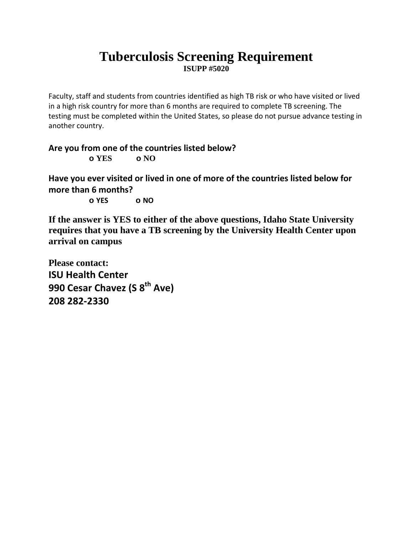## **Tuberculosis Screening Requirement ISUPP #5020**

Faculty, staff and students from countries identified as high TB risk or who have visited or lived in a high risk country for more than 6 months are required to complete TB screening. The testing must be completed within the United States, so please do not pursue advance testing in another country.

**Are you from one of the countries listed below? o YES o NO**

**Have you ever visited or lived in one of more of the countries listed below for more than 6 months?**

**o YES o NO**

**If the answer is YES to either of the above questions, Idaho State University requires that you have a TB screening by the University Health Center upon arrival on campus**

**Please contact: ISU Health Center 990 Cesar Chavez (S 8th Ave) 208 282-2330**